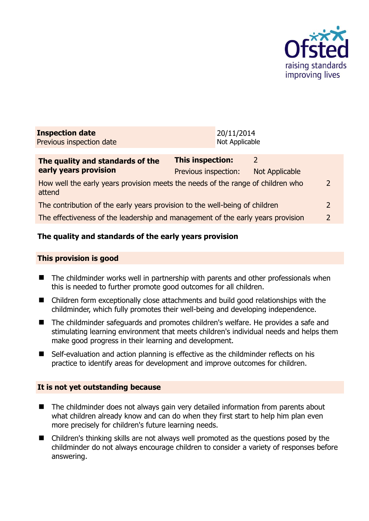

| <b>Inspection date</b>   | 20/11/2014     |
|--------------------------|----------------|
| Previous inspection date | Not Applicable |

| The quality and standards of the<br>early years provision                                 | <b>This inspection:</b> |                |               |
|-------------------------------------------------------------------------------------------|-------------------------|----------------|---------------|
|                                                                                           | Previous inspection:    | Not Applicable |               |
| How well the early years provision meets the needs of the range of children who<br>attend |                         |                | $\mathcal{P}$ |
| The contribution of the early years provision to the well-being of children               |                         |                |               |
| The effectiveness of the leadership and management of the early years provision           |                         |                | $\mathcal{D}$ |
|                                                                                           |                         |                |               |

# **The quality and standards of the early years provision**

#### **This provision is good**

- The childminder works well in partnership with parents and other professionals when this is needed to further promote good outcomes for all children.
- Children form exceptionally close attachments and build good relationships with the childminder, which fully promotes their well-being and developing independence.
- The childminder safeguards and promotes children's welfare. He provides a safe and stimulating learning environment that meets children's individual needs and helps them make good progress in their learning and development.
- Self-evaluation and action planning is effective as the childminder reflects on his practice to identify areas for development and improve outcomes for children.

#### **It is not yet outstanding because**

- The childminder does not always gain very detailed information from parents about what children already know and can do when they first start to help him plan even more precisely for children's future learning needs.
- Children's thinking skills are not always well promoted as the questions posed by the childminder do not always encourage children to consider a variety of responses before answering.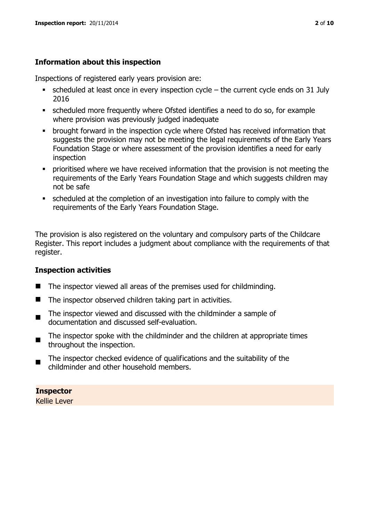# **Information about this inspection**

Inspections of registered early years provision are:

- scheduled at least once in every inspection cycle the current cycle ends on 31 July 2016
- scheduled more frequently where Ofsted identifies a need to do so, for example where provision was previously judged inadequate
- **•** brought forward in the inspection cycle where Ofsted has received information that suggests the provision may not be meeting the legal requirements of the Early Years Foundation Stage or where assessment of the provision identifies a need for early inspection
- **•** prioritised where we have received information that the provision is not meeting the requirements of the Early Years Foundation Stage and which suggests children may not be safe
- scheduled at the completion of an investigation into failure to comply with the requirements of the Early Years Foundation Stage.

The provision is also registered on the voluntary and compulsory parts of the Childcare Register. This report includes a judgment about compliance with the requirements of that register.

# **Inspection activities**

- The inspector viewed all areas of the premises used for childminding.
- $\blacksquare$  The inspector observed children taking part in activities.
- The inspector viewed and discussed with the childminder a sample of documentation and discussed self-evaluation.
- The inspector spoke with the childminder and the children at appropriate times throughout the inspection.
- The inspector checked evidence of qualifications and the suitability of the childminder and other household members.

**Inspector**  Kellie Lever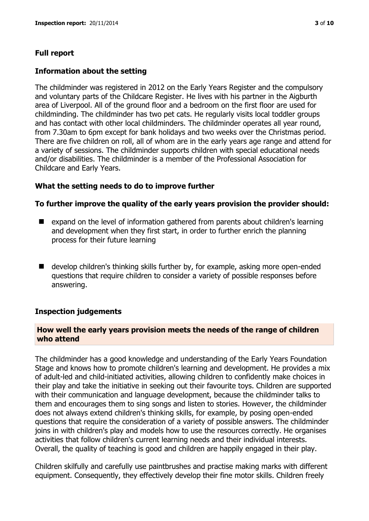# **Full report**

## **Information about the setting**

The childminder was registered in 2012 on the Early Years Register and the compulsory and voluntary parts of the Childcare Register. He lives with his partner in the Aigburth area of Liverpool. All of the ground floor and a bedroom on the first floor are used for childminding. The childminder has two pet cats. He regularly visits local toddler groups and has contact with other local childminders. The childminder operates all year round, from 7.30am to 6pm except for bank holidays and two weeks over the Christmas period. There are five children on roll, all of whom are in the early years age range and attend for a variety of sessions. The childminder supports children with special educational needs and/or disabilities. The childminder is a member of the Professional Association for Childcare and Early Years.

# **What the setting needs to do to improve further**

## **To further improve the quality of the early years provision the provider should:**

- expand on the level of information gathered from parents about children's learning and development when they first start, in order to further enrich the planning process for their future learning
- develop children's thinking skills further by, for example, asking more open-ended questions that require children to consider a variety of possible responses before answering.

#### **Inspection judgements**

#### **How well the early years provision meets the needs of the range of children who attend**

The childminder has a good knowledge and understanding of the Early Years Foundation Stage and knows how to promote children's learning and development. He provides a mix of adult-led and child-initiated activities, allowing children to confidently make choices in their play and take the initiative in seeking out their favourite toys. Children are supported with their communication and language development, because the childminder talks to them and encourages them to sing songs and listen to stories. However, the childminder does not always extend children's thinking skills, for example, by posing open-ended questions that require the consideration of a variety of possible answers. The childminder joins in with children's play and models how to use the resources correctly. He organises activities that follow children's current learning needs and their individual interests. Overall, the quality of teaching is good and children are happily engaged in their play.

Children skilfully and carefully use paintbrushes and practise making marks with different equipment. Consequently, they effectively develop their fine motor skills. Children freely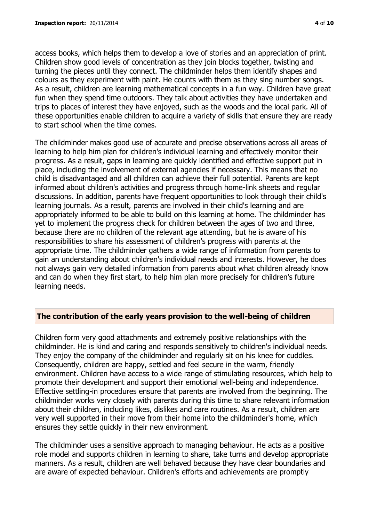access books, which helps them to develop a love of stories and an appreciation of print. Children show good levels of concentration as they join blocks together, twisting and turning the pieces until they connect. The childminder helps them identify shapes and colours as they experiment with paint. He counts with them as they sing number songs. As a result, children are learning mathematical concepts in a fun way. Children have great fun when they spend time outdoors. They talk about activities they have undertaken and trips to places of interest they have enjoyed, such as the woods and the local park. All of these opportunities enable children to acquire a variety of skills that ensure they are ready to start school when the time comes.

The childminder makes good use of accurate and precise observations across all areas of learning to help him plan for children's individual learning and effectively monitor their progress. As a result, gaps in learning are quickly identified and effective support put in place, including the involvement of external agencies if necessary. This means that no child is disadvantaged and all children can achieve their full potential. Parents are kept informed about children's activities and progress through home-link sheets and regular discussions. In addition, parents have frequent opportunities to look through their child's learning journals. As a result, parents are involved in their child's learning and are appropriately informed to be able to build on this learning at home. The childminder has yet to implement the progress check for children between the ages of two and three, because there are no children of the relevant age attending, but he is aware of his responsibilities to share his assessment of children's progress with parents at the appropriate time. The childminder gathers a wide range of information from parents to gain an understanding about children's individual needs and interests. However, he does not always gain very detailed information from parents about what children already know and can do when they first start, to help him plan more precisely for children's future learning needs.

# **The contribution of the early years provision to the well-being of children**

Children form very good attachments and extremely positive relationships with the childminder. He is kind and caring and responds sensitively to children's individual needs. They enjoy the company of the childminder and regularly sit on his knee for cuddles. Consequently, children are happy, settled and feel secure in the warm, friendly environment. Children have access to a wide range of stimulating resources, which help to promote their development and support their emotional well-being and independence. Effective settling-in procedures ensure that parents are involved from the beginning. The childminder works very closely with parents during this time to share relevant information about their children, including likes, dislikes and care routines. As a result, children are very well supported in their move from their home into the childminder's home, which ensures they settle quickly in their new environment.

The childminder uses a sensitive approach to managing behaviour. He acts as a positive role model and supports children in learning to share, take turns and develop appropriate manners. As a result, children are well behaved because they have clear boundaries and are aware of expected behaviour. Children's efforts and achievements are promptly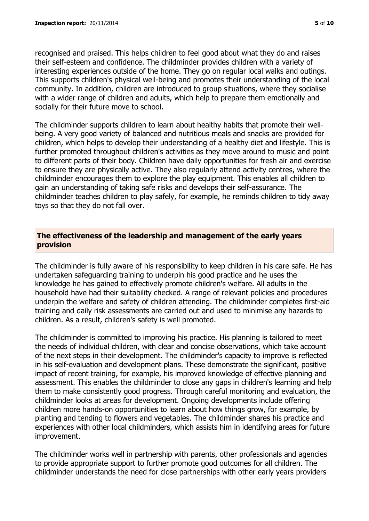recognised and praised. This helps children to feel good about what they do and raises their self-esteem and confidence. The childminder provides children with a variety of interesting experiences outside of the home. They go on regular local walks and outings. This supports children's physical well-being and promotes their understanding of the local community. In addition, children are introduced to group situations, where they socialise with a wider range of children and adults, which help to prepare them emotionally and socially for their future move to school.

The childminder supports children to learn about healthy habits that promote their wellbeing. A very good variety of balanced and nutritious meals and snacks are provided for children, which helps to develop their understanding of a healthy diet and lifestyle. This is further promoted throughout children's activities as they move around to music and point to different parts of their body. Children have daily opportunities for fresh air and exercise to ensure they are physically active. They also regularly attend activity centres, where the childminder encourages them to explore the play equipment. This enables all children to gain an understanding of taking safe risks and develops their self-assurance. The childminder teaches children to play safely, for example, he reminds children to tidy away toys so that they do not fall over.

## **The effectiveness of the leadership and management of the early years provision**

The childminder is fully aware of his responsibility to keep children in his care safe. He has undertaken safeguarding training to underpin his good practice and he uses the knowledge he has gained to effectively promote children's welfare. All adults in the household have had their suitability checked. A range of relevant policies and procedures underpin the welfare and safety of children attending. The childminder completes first-aid training and daily risk assessments are carried out and used to minimise any hazards to children. As a result, children's safety is well promoted.

The childminder is committed to improving his practice. His planning is tailored to meet the needs of individual children, with clear and concise observations, which take account of the next steps in their development. The childminder's capacity to improve is reflected in his self-evaluation and development plans. These demonstrate the significant, positive impact of recent training, for example, his improved knowledge of effective planning and assessment. This enables the childminder to close any gaps in children's learning and help them to make consistently good progress. Through careful monitoring and evaluation, the childminder looks at areas for development. Ongoing developments include offering children more hands-on opportunities to learn about how things grow, for example, by planting and tending to flowers and vegetables. The childminder shares his practice and experiences with other local childminders, which assists him in identifying areas for future improvement.

The childminder works well in partnership with parents, other professionals and agencies to provide appropriate support to further promote good outcomes for all children. The childminder understands the need for close partnerships with other early years providers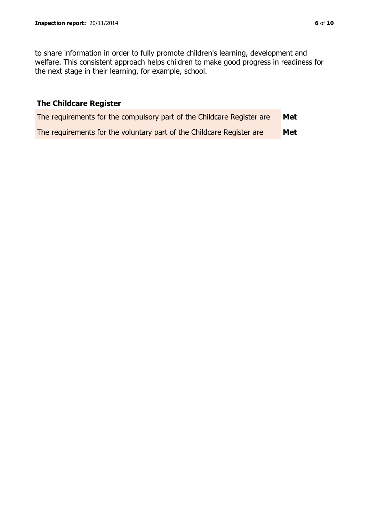to share information in order to fully promote children's learning, development and welfare. This consistent approach helps children to make good progress in readiness for the next stage in their learning, for example, school.

# **The Childcare Register**

| The requirements for the compulsory part of the Childcare Register are | Met |
|------------------------------------------------------------------------|-----|
| The requirements for the voluntary part of the Childcare Register are  | Met |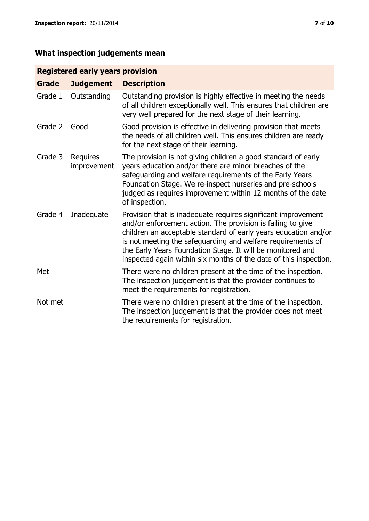# **Registered early years provision**

| <b>Grade</b> | <b>Judgement</b>               | <b>Description</b>                                                                                                                                                                                                                                                                                                                                                                                |
|--------------|--------------------------------|---------------------------------------------------------------------------------------------------------------------------------------------------------------------------------------------------------------------------------------------------------------------------------------------------------------------------------------------------------------------------------------------------|
| Grade 1      | Outstanding                    | Outstanding provision is highly effective in meeting the needs<br>of all children exceptionally well. This ensures that children are<br>very well prepared for the next stage of their learning.                                                                                                                                                                                                  |
| Grade 2      | Good                           | Good provision is effective in delivering provision that meets<br>the needs of all children well. This ensures children are ready<br>for the next stage of their learning.                                                                                                                                                                                                                        |
| Grade 3      | <b>Requires</b><br>improvement | The provision is not giving children a good standard of early<br>years education and/or there are minor breaches of the<br>safeguarding and welfare requirements of the Early Years<br>Foundation Stage. We re-inspect nurseries and pre-schools<br>judged as requires improvement within 12 months of the date<br>of inspection.                                                                 |
| Grade 4      | Inadequate                     | Provision that is inadequate requires significant improvement<br>and/or enforcement action. The provision is failing to give<br>children an acceptable standard of early years education and/or<br>is not meeting the safeguarding and welfare requirements of<br>the Early Years Foundation Stage. It will be monitored and<br>inspected again within six months of the date of this inspection. |
| Met          |                                | There were no children present at the time of the inspection.<br>The inspection judgement is that the provider continues to<br>meet the requirements for registration.                                                                                                                                                                                                                            |
| Not met      |                                | There were no children present at the time of the inspection.<br>The inspection judgement is that the provider does not meet<br>the requirements for registration.                                                                                                                                                                                                                                |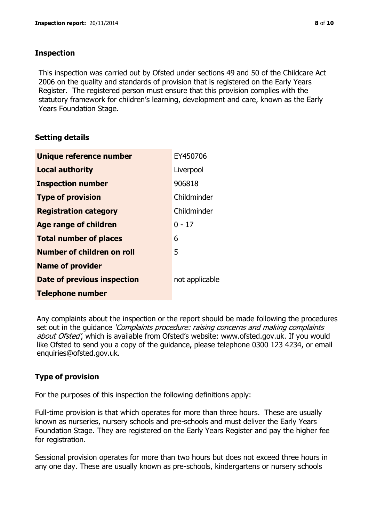## **Inspection**

This inspection was carried out by Ofsted under sections 49 and 50 of the Childcare Act 2006 on the quality and standards of provision that is registered on the Early Years Register. The registered person must ensure that this provision complies with the statutory framework for children's learning, development and care, known as the Early Years Foundation Stage.

# **Setting details**

| Unique reference number       | EY450706       |
|-------------------------------|----------------|
| <b>Local authority</b>        | Liverpool      |
| <b>Inspection number</b>      | 906818         |
| <b>Type of provision</b>      | Childminder    |
| <b>Registration category</b>  | Childminder    |
| <b>Age range of children</b>  | $0 - 17$       |
| <b>Total number of places</b> | 6              |
| Number of children on roll    | 5              |
| <b>Name of provider</b>       |                |
| Date of previous inspection   | not applicable |
| <b>Telephone number</b>       |                |

Any complaints about the inspection or the report should be made following the procedures set out in the guidance *'Complaints procedure: raising concerns and making complaints* about Ofsted', which is available from Ofsted's website: www.ofsted.gov.uk. If you would like Ofsted to send you a copy of the guidance, please telephone 0300 123 4234, or email enquiries@ofsted.gov.uk.

# **Type of provision**

For the purposes of this inspection the following definitions apply:

Full-time provision is that which operates for more than three hours. These are usually known as nurseries, nursery schools and pre-schools and must deliver the Early Years Foundation Stage. They are registered on the Early Years Register and pay the higher fee for registration.

Sessional provision operates for more than two hours but does not exceed three hours in any one day. These are usually known as pre-schools, kindergartens or nursery schools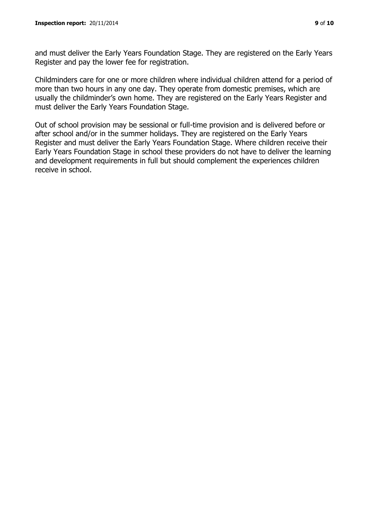and must deliver the Early Years Foundation Stage. They are registered on the Early Years Register and pay the lower fee for registration.

Childminders care for one or more children where individual children attend for a period of more than two hours in any one day. They operate from domestic premises, which are usually the childminder's own home. They are registered on the Early Years Register and must deliver the Early Years Foundation Stage.

Out of school provision may be sessional or full-time provision and is delivered before or after school and/or in the summer holidays. They are registered on the Early Years Register and must deliver the Early Years Foundation Stage. Where children receive their Early Years Foundation Stage in school these providers do not have to deliver the learning and development requirements in full but should complement the experiences children receive in school.